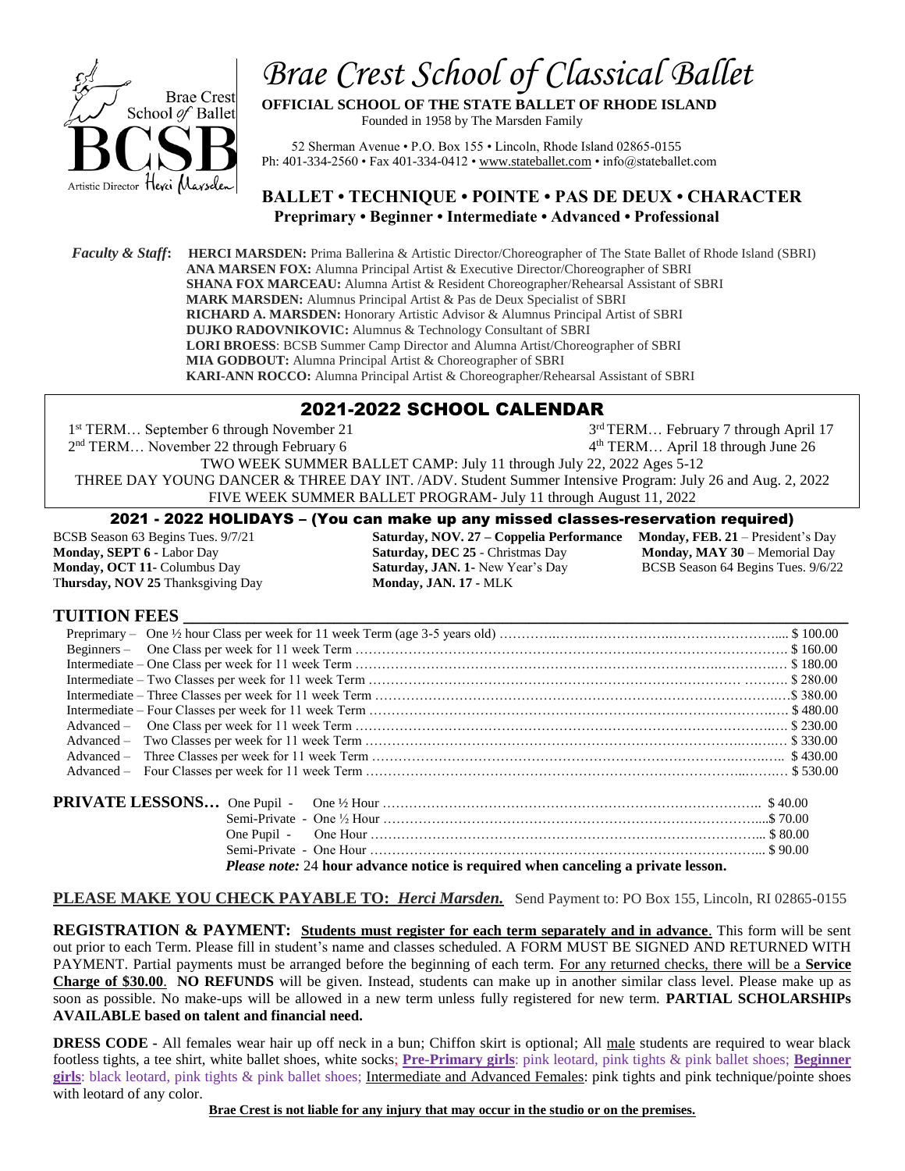

# *Brae Crest School of Classical Ballet*

**OFFICIAL SCHOOL OF THE STATE BALLET OF RHODE ISLAND** Founded in 1958 by The Marsden Family

 52 Sherman Avenue • P.O. Box 155 • Lincoln, Rhode Island 02865-0155 Ph: 401-334-2560 • Fax 401-334-0412 [• www.stateballet.com](http://www.stateballet.com/) • info@stateballet.com

## **BALLET • TECHNIQUE • POINTE • PAS DE DEUX • CHARACTER Preprimary • Beginner • Intermediate • Advanced • Professional**

 *Faculty & Staff***: HERCI MARSDEN:** Prima Ballerina & Artistic Director/Choreographer of The State Ballet of Rhode Island (SBRI) **ANA MARSEN FOX:** Alumna Principal Artist & Executive Director/Choreographer of SBRI **SHANA FOX MARCEAU:** Alumna Artist & Resident Choreographer/Rehearsal Assistant of SBRI **MARK MARSDEN:** Alumnus Principal Artist & Pas de Deux Specialist of SBRI **RICHARD A. MARSDEN:** Honorary Artistic Advisor & Alumnus Principal Artist of SBRI **DUJKO RADOVNIKOVIC:** Alumnus & Technology Consultant of SBRI **LORI BROESS**: BCSB Summer Camp Director and Alumna Artist/Choreographer of SBRI  **MIA GODBOUT:** Alumna Principal Artist & Choreographer of SBRI  **KARI-ANN ROCCO:** Alumna Principal Artist & Choreographer/Rehearsal Assistant of SBRI l

# 2021-2022 SCHOOL CALENDAR

1<sup>st</sup> TERM... September 6 through November 21 3 3<sup>rd</sup> TERM... February 7 through April 17 2 nd TERM… November 22 through February 6 4 4<sup>th</sup> TERM... April 18 through June 26 TWO WEEK SUMMER BALLET CAMP: July 11 through July 22, 2022 Ages 5-12 THREE DAY YOUNG DANCER & THREE DAY INT. /ADV. Student Summer Intensive Program: July 26 and Aug. 2, 2022 FIVE WEEK SUMMER BALLET PROGRAM- July 11 through August 11, 2022

### 2021 - 2022 HOLIDAYS – (You can make up any missed classes-reservation required)

T**hursday, NOV 25** Thanksgiving Day **Monday, JAN. 17 -** MLK

BCSB Season 63 Begins Tues. 9/7/21 **Saturday, NOV. 27 – Coppelia Performance Monday, FEB. 21** – President's Day **Monday, SEPT 6 -** Labor Day **Saturday, DEC 25** - Christmas Day **Monday, MAY 30** – Memorial Day **Monday, OCT 11-** Columbus Day **Saturday, JAN. 1-** New Year's Day BCSB Season 64 Begins Tues. 9/6/22

| One Pupil -                                                                                                                                                                                                       |  |
|-------------------------------------------------------------------------------------------------------------------------------------------------------------------------------------------------------------------|--|
|                                                                                                                                                                                                                   |  |
| $\mathbf{D}$ , we have $\mathbf{A}$ , and $\mathbf{A}$ , and $\mathbf{A}$ , and $\mathbf{A}$ , and $\mathbf{A}$ , and $\mathbf{A}$ , $\mathbf{B}$ , and $\mathbf{A}$ , $\mathbf{A}$ , $\mathbf{A}$ , $\mathbf{A}$ |  |

 *Please note:* 24 **hour advance notice is required when canceling a private lesson.**

**PLEASE MAKE YOU CHECK PAYABLE TO:** *Herci Marsden.* Send Payment to: PO Box 155, Lincoln, RI 02865-0155

**REGISTRATION & PAYMENT: Students must register for each term separately and in advance**. This form will be sent out prior to each Term. Please fill in student's name and classes scheduled. A FORM MUST BE SIGNED AND RETURNED WITH PAYMENT. Partial payments must be arranged before the beginning of each term. For any returned checks, there will be a **Service Charge of \$30.00**. **NO REFUNDS** will be given. Instead, students can make up in another similar class level. Please make up as soon as possible. No make-ups will be allowed in a new term unless fully registered for new term. **PARTIAL SCHOLARSHIPs AVAILABLE based on talent and financial need.**

**DRESS CODE -** All females wear hair up off neck in a bun; Chiffon skirt is optional; All male students are required to wear black footless tights, a tee shirt, white ballet shoes, white socks; **Pre-Primary girls**: pink leotard, pink tights & pink ballet shoes; **Beginner girls**: black leotard, pink tights & pink ballet shoes; Intermediate and Advanced Females: pink tights and pink technique/pointe shoes with leotard of any color.

**Brae Crest is not liable for any injury that may occur in the studio or on the premises.**